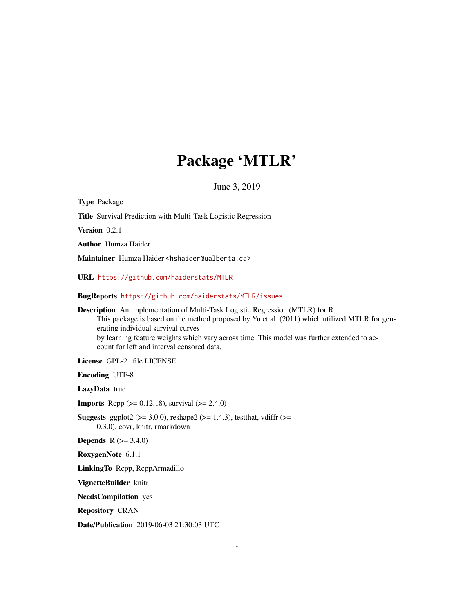# Package 'MTLR'

June 3, 2019

<span id="page-0-0"></span>Type Package Title Survival Prediction with Multi-Task Logistic Regression Version 0.2.1 Author Humza Haider Maintainer Humza Haider <hshaider@ualberta.ca> URL <https://github.com/haiderstats/MTLR> BugReports <https://github.com/haiderstats/MTLR/issues> Description An implementation of Multi-Task Logistic Regression (MTLR) for R. This package is based on the method proposed by Yu et al. (2011) which utilized MTLR for generating individual survival curves by learning feature weights which vary across time. This model was further extended to account for left and interval censored data. License GPL-2 | file LICENSE Encoding UTF-8 LazyData true **Imports** Rcpp ( $>= 0.12.18$ ), survival ( $>= 2.4.0$ ) **Suggests** ggplot2 ( $>= 3.0.0$ ), reshape2 ( $>= 1.4.3$ ), testthat, vdiffr ( $>=$ 0.3.0), covr, knitr, rmarkdown **Depends**  $R (= 3.4.0)$ RoxygenNote 6.1.1 LinkingTo Rcpp, RcppArmadillo VignetteBuilder knitr NeedsCompilation yes Repository CRAN Date/Publication 2019-06-03 21:30:03 UTC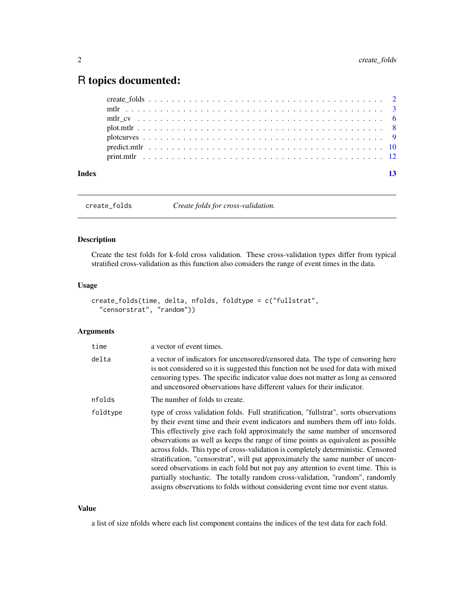# <span id="page-1-0"></span>R topics documented:

| Index |  |  |  |  |  |  |  |  |  |  |  |  |  |  |  |  |  |  | 13 |
|-------|--|--|--|--|--|--|--|--|--|--|--|--|--|--|--|--|--|--|----|
|       |  |  |  |  |  |  |  |  |  |  |  |  |  |  |  |  |  |  |    |
|       |  |  |  |  |  |  |  |  |  |  |  |  |  |  |  |  |  |  |    |
|       |  |  |  |  |  |  |  |  |  |  |  |  |  |  |  |  |  |  |    |
|       |  |  |  |  |  |  |  |  |  |  |  |  |  |  |  |  |  |  |    |
|       |  |  |  |  |  |  |  |  |  |  |  |  |  |  |  |  |  |  |    |
|       |  |  |  |  |  |  |  |  |  |  |  |  |  |  |  |  |  |  |    |
|       |  |  |  |  |  |  |  |  |  |  |  |  |  |  |  |  |  |  |    |

create\_folds *Create folds for cross-validation.*

# Description

Create the test folds for k-fold cross validation. These cross-validation types differ from typical stratified cross-validation as this function also considers the range of event times in the data.

# Usage

```
create_folds(time, delta, nfolds, foldtype = c("fullstrat",
  "censorstrat", "random"))
```
### Arguments

| time     | a vector of event times.                                                                                                                                                                                                                                                                                                                                                                                                                                                                                                                                                                                                                                                                                                                                                  |
|----------|---------------------------------------------------------------------------------------------------------------------------------------------------------------------------------------------------------------------------------------------------------------------------------------------------------------------------------------------------------------------------------------------------------------------------------------------------------------------------------------------------------------------------------------------------------------------------------------------------------------------------------------------------------------------------------------------------------------------------------------------------------------------------|
| delta    | a vector of indicators for uncensored/censored data. The type of censoring here<br>is not considered so it is suggested this function not be used for data with mixed<br>censoring types. The specific indicator value does not matter as long as censored<br>and uncensored observations have different values for their indicator.                                                                                                                                                                                                                                                                                                                                                                                                                                      |
| nfolds   | The number of folds to create.                                                                                                                                                                                                                                                                                                                                                                                                                                                                                                                                                                                                                                                                                                                                            |
| foldtype | type of cross validation folds. Full stratification, "fullstrat", sorts observations<br>by their event time and their event indicators and numbers them off into folds.<br>This effectively give each fold approximately the same number of uncensored<br>observations as well as keeps the range of time points as equivalent as possible<br>across folds. This type of cross-validation is completely deterministic. Censored<br>stratification, "censorstrat", will put approximately the same number of uncen-<br>sored observations in each fold but not pay any attention to event time. This is<br>partially stochastic. The totally random cross-validation, "random", randomly<br>assigns observations to folds without considering event time nor event status. |

# Value

a list of size nfolds where each list component contains the indices of the test data for each fold.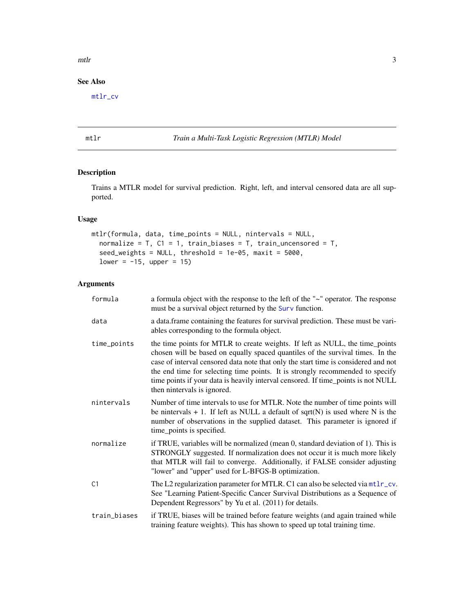#### <span id="page-2-0"></span> $m$ tlr $3$

# See Also

[mtlr\\_cv](#page-5-1)

<span id="page-2-1"></span>mtlr *Train a Multi-Task Logistic Regression (MTLR) Model*

# Description

Trains a MTLR model for survival prediction. Right, left, and interval censored data are all supported.

# Usage

```
mtlr(formula, data, time_points = NULL, nintervals = NULL,
 normalize = T, C1 = 1, train_biases = T, train_uncensored = T,
  seed_weights = NULL, threshold = 1e-05, maxit = 5000,
 lower = -15, upper = 15)
```

| formula      | a formula object with the response to the left of the "~" operator. The response<br>must be a survival object returned by the Surv function.                                                                                                                                                                                                                                                                                                              |
|--------------|-----------------------------------------------------------------------------------------------------------------------------------------------------------------------------------------------------------------------------------------------------------------------------------------------------------------------------------------------------------------------------------------------------------------------------------------------------------|
| data         | a data.frame containing the features for survival prediction. These must be vari-<br>ables corresponding to the formula object.                                                                                                                                                                                                                                                                                                                           |
| time_points  | the time points for MTLR to create weights. If left as NULL, the time_points<br>chosen will be based on equally spaced quantiles of the survival times. In the<br>case of interval censored data note that only the start time is considered and not<br>the end time for selecting time points. It is strongly recommended to specify<br>time points if your data is heavily interval censored. If time_points is not NULL<br>then nintervals is ignored. |
| nintervals   | Number of time intervals to use for MTLR. Note the number of time points will<br>be nintervals $+ 1$ . If left as NULL a default of sqrt(N) is used where N is the<br>number of observations in the supplied dataset. This parameter is ignored if<br>time_points is specified.                                                                                                                                                                           |
| normalize    | if TRUE, variables will be normalized (mean 0, standard deviation of 1). This is<br>STRONGLY suggested. If normalization does not occur it is much more likely<br>that MTLR will fail to converge. Additionally, if FALSE consider adjusting<br>"lower" and "upper" used for L-BFGS-B optimization.                                                                                                                                                       |
| C1           | The L2 regularization parameter for MTLR. C1 can also be selected via mt1r_cv.<br>See "Learning Patient-Specific Cancer Survival Distributions as a Sequence of<br>Dependent Regressors" by Yu et al. (2011) for details.                                                                                                                                                                                                                                 |
| train_biases | if TRUE, biases will be trained before feature weights (and again trained while<br>training feature weights). This has shown to speed up total training time.                                                                                                                                                                                                                                                                                             |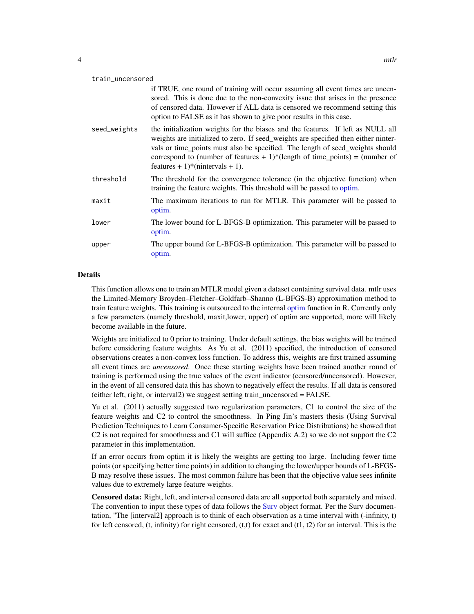<span id="page-3-0"></span>

| train_uncensored |                                                                                                                                                                                                                                                                                                                                                                            |  |  |  |  |  |
|------------------|----------------------------------------------------------------------------------------------------------------------------------------------------------------------------------------------------------------------------------------------------------------------------------------------------------------------------------------------------------------------------|--|--|--|--|--|
|                  | if TRUE, one round of training will occur assuming all event times are uncen-<br>sored. This is done due to the non-convexity issue that arises in the presence<br>of censored data. However if ALL data is censored we recommend setting this<br>option to FALSE as it has shown to give poor results in this case.                                                       |  |  |  |  |  |
| seed_weights     | the initialization weights for the biases and the features. If left as NULL all<br>weights are initialized to zero. If seed_weights are specified then either ninter-<br>vals or time_points must also be specified. The length of seed_weights should<br>correspond to (number of features $+1$ )*(length of time_points) = (number of<br>features + 1)*(nintervals + 1). |  |  |  |  |  |
| threshold        | The threshold for the convergence tolerance (in the objective function) when<br>training the feature weights. This threshold will be passed to optim.                                                                                                                                                                                                                      |  |  |  |  |  |
| maxit            | The maximum iterations to run for MTLR. This parameter will be passed to<br>optim.                                                                                                                                                                                                                                                                                         |  |  |  |  |  |
| lower            | The lower bound for L-BFGS-B optimization. This parameter will be passed to<br>optim.                                                                                                                                                                                                                                                                                      |  |  |  |  |  |
| upper            | The upper bound for L-BFGS-B optimization. This parameter will be passed to<br>optim.                                                                                                                                                                                                                                                                                      |  |  |  |  |  |

### Details

This function allows one to train an MTLR model given a dataset containing survival data. mtlr uses the Limited-Memory Broyden–Fletcher–Goldfarb–Shanno (L-BFGS-B) approximation method to train feature weights. This training is outsourced to the internal [optim](#page-0-0) function in R. Currently only a few parameters (namely threshold, maxit,lower, upper) of optim are supported, more will likely become available in the future.

Weights are initialized to 0 prior to training. Under default settings, the bias weights will be trained before considering feature weights. As Yu et al. (2011) specified, the introduction of censored observations creates a non-convex loss function. To address this, weights are first trained assuming all event times are *uncensored*. Once these starting weights have been trained another round of training is performed using the true values of the event indicator (censored/uncensored). However, in the event of all censored data this has shown to negatively effect the results. If all data is censored (either left, right, or interval2) we suggest setting train\_uncensored = FALSE.

Yu et al. (2011) actually suggested two regularization parameters, C1 to control the size of the feature weights and C2 to control the smoothness. In Ping Jin's masters thesis (Using Survival Prediction Techniques to Learn Consumer-Specific Reservation Price Distributions) he showed that C2 is not required for smoothness and C1 will suffice (Appendix A.2) so we do not support the C2 parameter in this implementation.

If an error occurs from optim it is likely the weights are getting too large. Including fewer time points (or specifying better time points) in addition to changing the lower/upper bounds of L-BFGS-B may resolve these issues. The most common failure has been that the objective value sees infinite values due to extremely large feature weights.

Censored data: Right, left, and interval censored data are all supported both separately and mixed. The convention to input these types of data follows the [Surv](#page-0-0) object format. Per the Surv documentation, "The [interval2] approach is to think of each observation as a time interval with (-infinity, t) for left censored, (t, infinity) for right censored, (t,t) for exact and (t1, t2) for an interval. This is the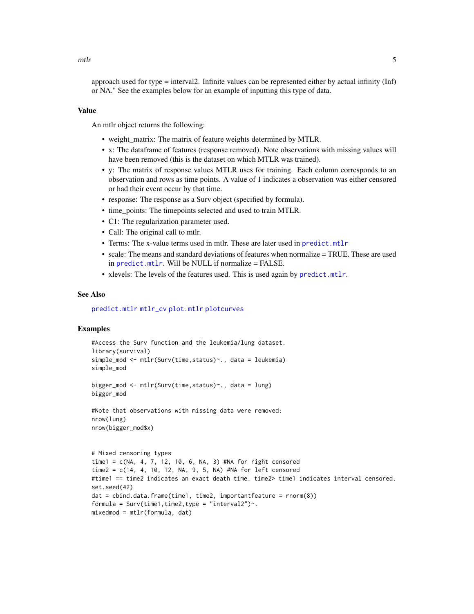<span id="page-4-0"></span>approach used for type = interval2. Infinite values can be represented either by actual infinity (Inf) or NA." See the examples below for an example of inputting this type of data.

# Value

An mtlr object returns the following:

- weight\_matrix: The matrix of feature weights determined by MTLR.
- x: The dataframe of features (response removed). Note observations with missing values will have been removed (this is the dataset on which MTLR was trained).
- y: The matrix of response values MTLR uses for training. Each column corresponds to an observation and rows as time points. A value of 1 indicates a observation was either censored or had their event occur by that time.
- response: The response as a Surv object (specified by formula).
- time points: The timepoints selected and used to train MTLR.
- C1: The regularization parameter used.
- Call: The original call to mtlr.
- Terms: The x-value terms used in mtlr. These are later used in [predict.mtlr](#page-9-1)
- scale: The means and standard deviations of features when normalize = TRUE. These are used in [predict.mtlr](#page-9-1). Will be NULL if normalize = FALSE.
- xlevels: The levels of the features used. This is used again by [predict.mtlr](#page-9-1).

#### See Also

[predict.mtlr](#page-9-1) [mtlr\\_cv](#page-5-1) [plot.mtlr](#page-7-1) [plotcurves](#page-8-1)

# Examples

```
#Access the Surv function and the leukemia/lung dataset.
library(survival)
simple_mod <- mtlr(Surv(time,status)~., data = leukemia)
simple_mod
bigger_mod <- mtlr(Surv(time,status)~., data = lung)
```

```
bigger_mod
```

```
#Note that observations with missing data were removed:
nrow(lung)
nrow(bigger_mod$x)
```

```
# Mixed censoring types
time1 = c(NA, 4, 7, 12, 10, 6, NA, 3) #NA for right censored
time2 = c(14, 4, 10, 12, NA, 9, 5, NA) #NA for left censored
#time1 == time2 indicates an exact death time. time2> time1 indicates interval censored.
set.seed(42)
dat = cbind.data.frame(time1, time2, importantfeature = rnorm(8))
formula = Surv(time1, time2, type = "interval2").
mixedmod = mtlr(formula, dat)
```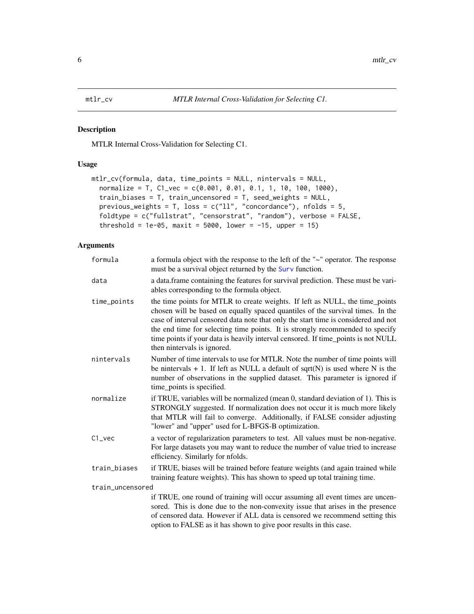<span id="page-5-1"></span><span id="page-5-0"></span>

# Description

MTLR Internal Cross-Validation for Selecting C1.

### Usage

```
mtlr_cv(formula, data, time_points = NULL, nintervals = NULL,
  normalize = T, C1_vec = c(0.001, 0.01, 0.1, 1, 10, 100, 1000),
  train_biases = T, train_uncensored = T, seed_weights = NULL,
 previous_weights = T, loss = c("11", "concordance"), nfolds = 5,foldtype = c("fullstrat", "censorstrat", "random"), verbose = FALSE,
  threshold = 1e-05, maxit = 5000, lower = -15, upper = 15)
```

| formula          | a formula object with the response to the left of the "~" operator. The response<br>must be a survival object returned by the Surv function.                                                                                                                                                                                                                                                                                                              |
|------------------|-----------------------------------------------------------------------------------------------------------------------------------------------------------------------------------------------------------------------------------------------------------------------------------------------------------------------------------------------------------------------------------------------------------------------------------------------------------|
| data             | a data frame containing the features for survival prediction. These must be vari-<br>ables corresponding to the formula object.                                                                                                                                                                                                                                                                                                                           |
| time_points      | the time points for MTLR to create weights. If left as NULL, the time_points<br>chosen will be based on equally spaced quantiles of the survival times. In the<br>case of interval censored data note that only the start time is considered and not<br>the end time for selecting time points. It is strongly recommended to specify<br>time points if your data is heavily interval censored. If time_points is not NULL<br>then nintervals is ignored. |
| nintervals       | Number of time intervals to use for MTLR. Note the number of time points will<br>be nintervals $+ 1$ . If left as NULL a default of sqrt(N) is used where N is the<br>number of observations in the supplied dataset. This parameter is ignored if<br>time_points is specified.                                                                                                                                                                           |
| normalize        | if TRUE, variables will be normalized (mean 0, standard deviation of 1). This is<br>STRONGLY suggested. If normalization does not occur it is much more likely<br>that MTLR will fail to converge. Additionally, if FALSE consider adjusting<br>"lower" and "upper" used for L-BFGS-B optimization.                                                                                                                                                       |
| $C1$ _vec        | a vector of regularization parameters to test. All values must be non-negative.<br>For large datasets you may want to reduce the number of value tried to increase<br>efficiency. Similarly for nfolds.                                                                                                                                                                                                                                                   |
| train_biases     | if TRUE, biases will be trained before feature weights (and again trained while<br>training feature weights). This has shown to speed up total training time.                                                                                                                                                                                                                                                                                             |
| train_uncensored |                                                                                                                                                                                                                                                                                                                                                                                                                                                           |
|                  | if TRUE, one round of training will occur assuming all event times are uncen-<br>sored. This is done due to the non-convexity issue that arises in the presence<br>of censored data. However if ALL data is censored we recommend setting this                                                                                                                                                                                                            |
|                  | option to FALSE as it has shown to give poor results in this case.                                                                                                                                                                                                                                                                                                                                                                                        |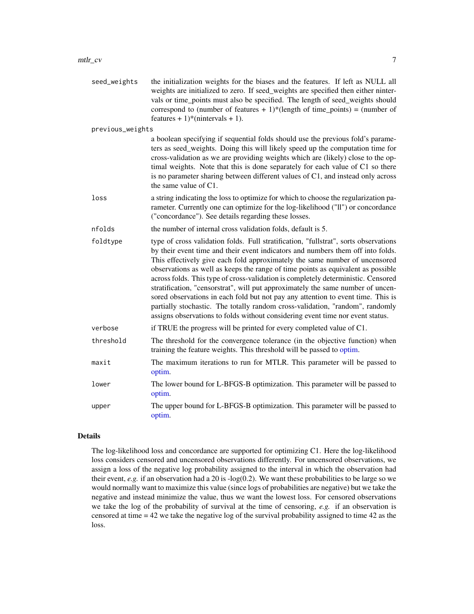#### <span id="page-6-0"></span> $\frac{mtlr\_cv}{7}$

| seed_weights     | the initialization weights for the biases and the features. If left as NULL all<br>weights are initialized to zero. If seed_weights are specified then either ninter-<br>vals or time_points must also be specified. The length of seed_weights should<br>correspond to (number of features $+ 1$ )*(length of time_points) = (number of<br>features + 1)*(nintervals + 1).                                                                                                                                                                                                                                                                                                                                                                                               |
|------------------|---------------------------------------------------------------------------------------------------------------------------------------------------------------------------------------------------------------------------------------------------------------------------------------------------------------------------------------------------------------------------------------------------------------------------------------------------------------------------------------------------------------------------------------------------------------------------------------------------------------------------------------------------------------------------------------------------------------------------------------------------------------------------|
| previous_weights |                                                                                                                                                                                                                                                                                                                                                                                                                                                                                                                                                                                                                                                                                                                                                                           |
|                  | a boolean specifying if sequential folds should use the previous fold's parame-<br>ters as seed_weights. Doing this will likely speed up the computation time for<br>cross-validation as we are providing weights which are (likely) close to the op-<br>timal weights. Note that this is done separately for each value of C1 so there<br>is no parameter sharing between different values of C1, and instead only across<br>the same value of $C1$ .                                                                                                                                                                                                                                                                                                                    |
| loss             | a string indicating the loss to optimize for which to choose the regularization pa-<br>rameter. Currently one can optimize for the log-likelihood ("ll") or concordance<br>("concordance"). See details regarding these losses.                                                                                                                                                                                                                                                                                                                                                                                                                                                                                                                                           |
| nfolds           | the number of internal cross validation folds, default is 5.                                                                                                                                                                                                                                                                                                                                                                                                                                                                                                                                                                                                                                                                                                              |
| foldtype         | type of cross validation folds. Full stratification, "fullstrat", sorts observations<br>by their event time and their event indicators and numbers them off into folds.<br>This effectively give each fold approximately the same number of uncensored<br>observations as well as keeps the range of time points as equivalent as possible<br>across folds. This type of cross-validation is completely deterministic. Censored<br>stratification, "censorstrat", will put approximately the same number of uncen-<br>sored observations in each fold but not pay any attention to event time. This is<br>partially stochastic. The totally random cross-validation, "random", randomly<br>assigns observations to folds without considering event time nor event status. |
| verbose          | if TRUE the progress will be printed for every completed value of C1.                                                                                                                                                                                                                                                                                                                                                                                                                                                                                                                                                                                                                                                                                                     |
| threshold        | The threshold for the convergence tolerance (in the objective function) when<br>training the feature weights. This threshold will be passed to optim.                                                                                                                                                                                                                                                                                                                                                                                                                                                                                                                                                                                                                     |
| maxit            | The maximum iterations to run for MTLR. This parameter will be passed to<br>optim.                                                                                                                                                                                                                                                                                                                                                                                                                                                                                                                                                                                                                                                                                        |
| lower            | The lower bound for L-BFGS-B optimization. This parameter will be passed to<br>optim.                                                                                                                                                                                                                                                                                                                                                                                                                                                                                                                                                                                                                                                                                     |

upper The upper bound for L-BFGS-B optimization. This parameter will be passed to [optim.](#page-0-0)

# Details

The log-likelihood loss and concordance are supported for optimizing C1. Here the log-likelihood loss considers censored and uncensored observations differently. For uncensored observations, we assign a loss of the negative log probability assigned to the interval in which the observation had their event, *e.g.* if an observation had a 20 is  $log(0.2)$ . We want these probabilities to be large so we would normally want to maximize this value (since logs of probabilities are negative) but we take the negative and instead minimize the value, thus we want the lowest loss. For censored observations we take the log of the probability of survival at the time of censoring, *e.g.* if an observation is censored at time = 42 we take the negative log of the survival probability assigned to time 42 as the loss.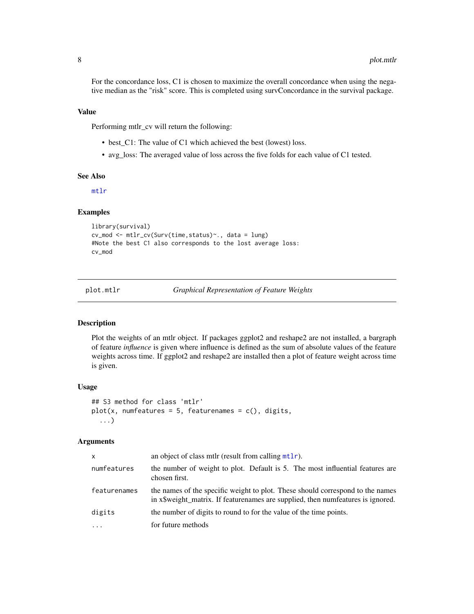<span id="page-7-0"></span>For the concordance loss, C1 is chosen to maximize the overall concordance when using the negative median as the "risk" score. This is completed using survConcordance in the survival package.

#### Value

Performing mtlr\_cv will return the following:

- best\_C1: The value of C1 which achieved the best (lowest) loss.
- avg\_loss: The averaged value of loss across the five folds for each value of C1 tested.

#### See Also

[mtlr](#page-2-1)

#### Examples

```
library(survival)
cv_mod <- mtlr_cv(Surv(time,status)~., data = lung)
#Note the best C1 also corresponds to the lost average loss:
cv_mod
```
plot.mtlr *Graphical Representation of Feature Weights*

#### Description

Plot the weights of an mtlr object. If packages ggplot2 and reshape2 are not installed, a bargraph of feature *influence* is given where influence is defined as the sum of absolute values of the feature weights across time. If ggplot2 and reshape2 are installed then a plot of feature weight across time is given.

#### Usage

```
## S3 method for class 'mtlr'
plot(x, numfeatures = 5, featurenames = c(), digits,...)
```

| x            | an object of class mtlr (result from calling $mtlr$ ).                                                                                                             |
|--------------|--------------------------------------------------------------------------------------------------------------------------------------------------------------------|
| numfeatures  | the number of weight to plot. Default is 5. The most influential features are<br>chosen first.                                                                     |
| featurenames | the names of the specific weight to plot. These should correspond to the names<br>in x\$ weight_matrix. If featurenames are supplied, then numeratures is ignored. |
| digits       | the number of digits to round to for the value of the time points.                                                                                                 |
| $\ddotsc$    | for future methods                                                                                                                                                 |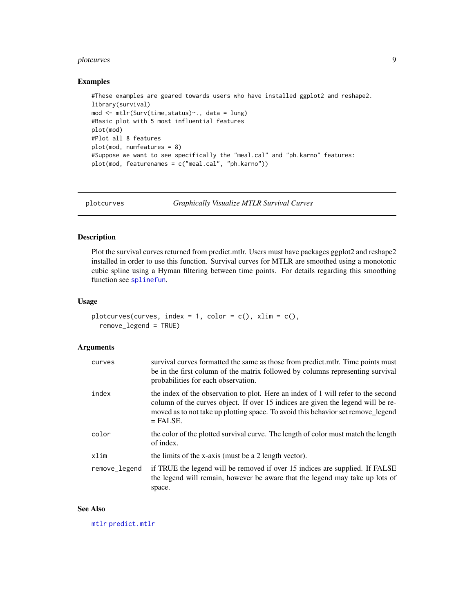#### <span id="page-8-0"></span>plotcurves that the contract of the contract of the contract of the contract of the contract of the contract of the contract of the contract of the contract of the contract of the contract of the contract of the contract o

#### Examples

```
#These examples are geared towards users who have installed ggplot2 and reshape2.
library(survival)
mod <- mtlr(Surv(time,status)~., data = lung)
#Basic plot with 5 most influential features
plot(mod)
#Plot all 8 features
plot(mod, numfeatures = 8)
#Suppose we want to see specifically the "meal.cal" and "ph.karno" features:
plot(mod, featurenames = c("meal.cal", "ph.karno"))
```
<span id="page-8-1"></span>plotcurves *Graphically Visualize MTLR Survival Curves*

#### Description

Plot the survival curves returned from predict.mtlr. Users must have packages ggplot2 and reshape2 installed in order to use this function. Survival curves for MTLR are smoothed using a monotonic cubic spline using a Hyman filtering between time points. For details regarding this smoothing function see [splinefun](#page-0-0).

#### Usage

```
plotcurves(curves, index = 1, color = c(), xlim = c(),
  remove_legend = TRUE)
```
#### Arguments

| curves        | survival curves formatted the same as those from predict.mtlr. Time points must<br>be in the first column of the matrix followed by columns representing survival<br>probabilities for each observation.                                                                |
|---------------|-------------------------------------------------------------------------------------------------------------------------------------------------------------------------------------------------------------------------------------------------------------------------|
| index         | the index of the observation to plot. Here an index of 1 will refer to the second<br>column of the curves object. If over 15 indices are given the legend will be re-<br>moved as to not take up plotting space. To avoid this behavior set remove_legend<br>$=$ FALSE. |
| color         | the color of the plotted survival curve. The length of color must match the length<br>of index.                                                                                                                                                                         |
| xlim          | the limits of the x-axis (must be a 2 length vector).                                                                                                                                                                                                                   |
| remove_legend | if TRUE the legend will be removed if over 15 indices are supplied. If FALSE<br>the legend will remain, however be aware that the legend may take up lots of<br>space.                                                                                                  |

#### See Also

[mtlr](#page-2-1) [predict.mtlr](#page-9-1)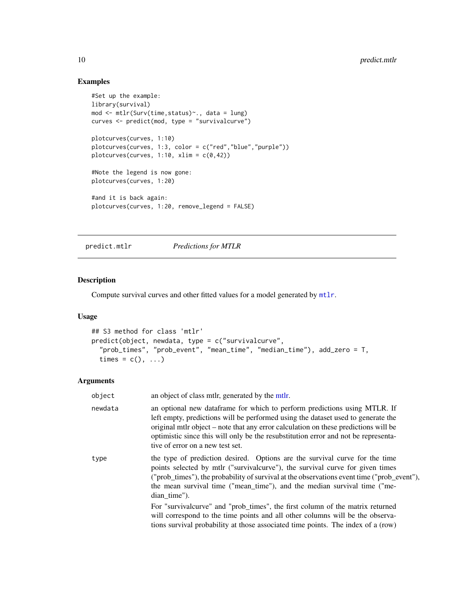# Examples

```
#Set up the example:
library(survival)
mod <- mtlr(Surv(time,status)~., data = lung)
curves <- predict(mod, type = "survivalcurve")
plotcurves(curves, 1:10)
plotcurves(curves, 1:3, color = c("red","blue","purple"))
plotcurves(curves, 1:10, xlim = c(0, 42))
#Note the legend is now gone:
plotcurves(curves, 1:20)
#and it is back again:
plotcurves(curves, 1:20, remove_legend = FALSE)
```
<span id="page-9-1"></span>predict.mtlr *Predictions for MTLR*

#### Description

Compute survival curves and other fitted values for a model generated by [mtlr](#page-2-1).

# Usage

```
## S3 method for class 'mtlr'
predict(object, newdata, type = c("survivalcurve",
  "prob_times", "prob_event", "mean_time", "median_time"), add_zero = T,
  times = c(), ...)
```

| object  | an object of class mtlr, generated by the mtlr.                                                                                                                                                                                                                                                                                                                                 |
|---------|---------------------------------------------------------------------------------------------------------------------------------------------------------------------------------------------------------------------------------------------------------------------------------------------------------------------------------------------------------------------------------|
| newdata | an optional new data frame for which to perform predictions using MTLR. If<br>left empty, predictions will be performed using the dataset used to generate the<br>original mtlr object – note that any error calculation on these predictions will be<br>optimistic since this will only be the resubstitution error and not be representa-<br>tive of error on a new test set. |
| type    | the type of prediction desired. Options are the survival curve for the time<br>points selected by mtlr ("survivalcurve"), the survival curve for given times<br>("prob_times"), the probability of survival at the observations event time ("prob_event"),<br>the mean survival time ("mean_time"), and the median survival time ("me-<br>dian_time").                          |
|         | For "survivalcurve" and "prob_times", the first column of the matrix returned<br>will correspond to the time points and all other columns will be the observa-<br>tions survival probability at those associated time points. The index of a (row)                                                                                                                              |

<span id="page-9-0"></span>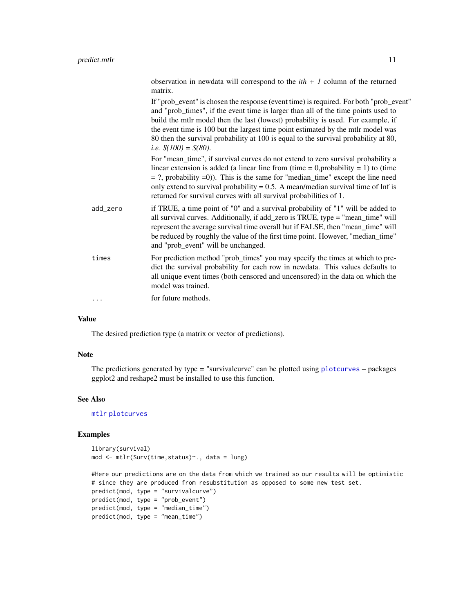<span id="page-10-0"></span>

|          | observation in newdata will correspond to the $ith + 1$ column of the returned<br>matrix.                                                                                                                                                                                                                                                                                                                                                                                    |
|----------|------------------------------------------------------------------------------------------------------------------------------------------------------------------------------------------------------------------------------------------------------------------------------------------------------------------------------------------------------------------------------------------------------------------------------------------------------------------------------|
|          | If "prob_event" is chosen the response (event time) is required. For both "prob_event"<br>and "prob_times", if the event time is larger than all of the time points used to<br>build the mtlr model then the last (lowest) probability is used. For example, if<br>the event time is 100 but the largest time point estimated by the mtlr model was<br>80 then the survival probability at 100 is equal to the survival probability at 80,<br><i>i.e.</i> $S(100) = S(80)$ . |
|          | For "mean_time", if survival curves do not extend to zero survival probability a<br>linear extension is added (a linear line from (time = 0, probability = 1) to (time<br>$=$ ?, probability $=$ 0)). This is the same for "median_time" except the line need<br>only extend to survival probability = $0.5$ . A mean/median survival time of Inf is<br>returned for survival curves with all survival probabilities of 1.                                                   |
| add_zero | if TRUE, a time point of "0" and a survival probability of "1" will be added to<br>all survival curves. Additionally, if add_zero is TRUE, type = "mean_time" will<br>represent the average survival time overall but if FALSE, then "mean_time" will<br>be reduced by roughly the value of the first time point. However, "median_time"<br>and "prob_event" will be unchanged.                                                                                              |
| times    | For prediction method "prob_times" you may specify the times at which to pre-<br>dict the survival probability for each row in newdata. This values defaults to<br>all unique event times (both censored and uncensored) in the data on which the<br>model was trained.                                                                                                                                                                                                      |
| .        | for future methods.                                                                                                                                                                                                                                                                                                                                                                                                                                                          |
|          |                                                                                                                                                                                                                                                                                                                                                                                                                                                                              |

#### Value

The desired prediction type (a matrix or vector of predictions).

### Note

The predictions generated by type = "survivalcurve" can be plotted using [plotcurves](#page-8-1) – packages ggplot2 and reshape2 must be installed to use this function.

# See Also

[mtlr](#page-2-1) [plotcurves](#page-8-1)

# Examples

```
library(survival)
mod <- mtlr(Surv(time,status)~., data = lung)
```

```
#Here our predictions are on the data from which we trained so our results will be optimistic
# since they are produced from resubstitution as opposed to some new test set.
predict(mod, type = "survivalcurve")
predict(mod, type = "prob_event")
predict(mod, type = "median_time")
predict(mod, type = "mean_time")
```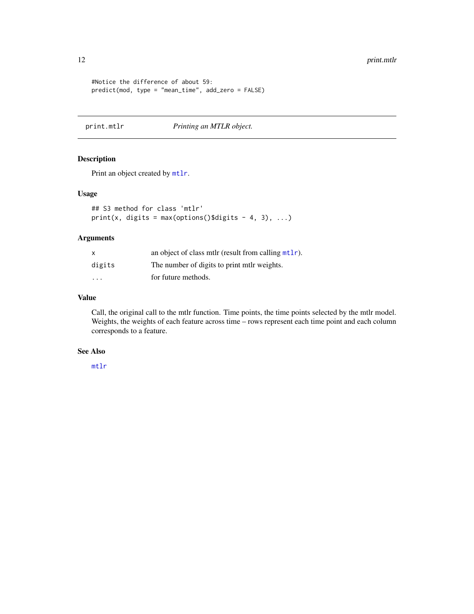#### <span id="page-11-0"></span>12 print.mtlr

```
#Notice the difference of about 59:
predict(mod, type = "mean_time", add_zero = FALSE)
```
print.mtlr *Printing an MTLR object.*

# Description

Print an object created by [mtlr](#page-2-1).

#### Usage

```
## S3 method for class 'mtlr'
print(x, digits = max(options()$digits - 4, 3), \dots)
```
# Arguments

| X                       | an object of class mtlr (result from calling $mtlr$ ). |
|-------------------------|--------------------------------------------------------|
| digits                  | The number of digits to print mtlr weights.            |
| $\cdot$ $\cdot$ $\cdot$ | for future methods.                                    |

# Value

Call, the original call to the mtlr function. Time points, the time points selected by the mtlr model. Weights, the weights of each feature across time – rows represent each time point and each column corresponds to a feature.

# See Also

[mtlr](#page-2-1)